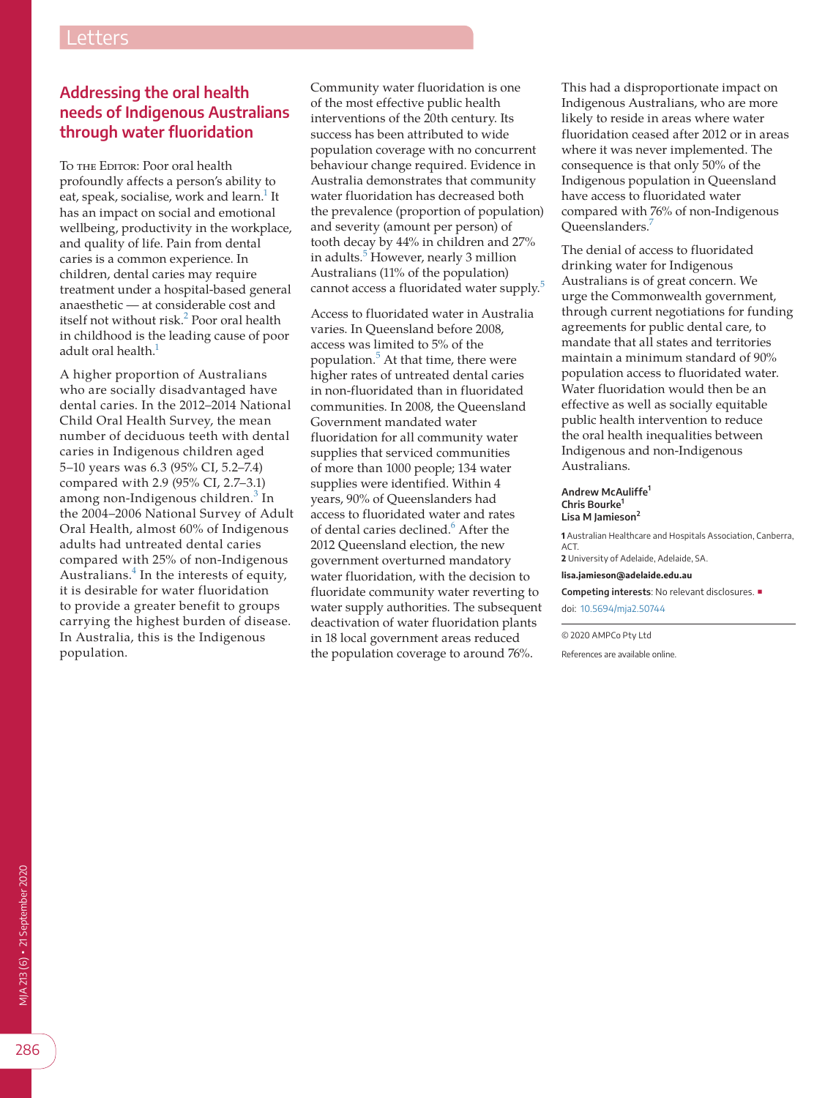## **Addressing the oral health needs of Indigenous Australians through water fluoridation**

To THE EDITOR: Poor oral health profoundly affects a person's ability to eat, speak, socialise, work and learn.<sup>1</sup> It has an impact on social and emotional wellbeing, productivity in the workplace, and quality of life. Pain from dental caries is a common experience. In children, dental caries may require treatment under a hospital-based general anaesthetic — at considerable cost and itself not without risk.<sup>[2](#page-1-1)</sup> Poor oral health in childhood is the leading cause of poor adult oral health.<sup>1</sup>

A higher proportion of Australians who are socially disadvantaged have dental caries. In the 2012–2014 National Child Oral Health Survey, the mean number of deciduous teeth with dental caries in Indigenous children aged 5–10 years was 6.3 (95% CI, 5.2–7.4) compared with 2.9 (95% CI, 2.7–3.1) among non-Indigenous children.<sup>[3](#page-1-2)</sup> In the 2004–2006 National Survey of Adult Oral Health, almost 60% of Indigenous adults had untreated dental caries compared with 25% of non-Indigenous Australians.<sup>[4](#page-1-3)</sup> In the interests of equity, it is desirable for water fluoridation to provide a greater benefit to groups carrying the highest burden of disease. In Australia, this is the Indigenous population.

Community water fluoridation is one of the most effective public health interventions of the 20th century. Its success has been attributed to wide population coverage with no concurrent behaviour change required. Evidence in Australia demonstrates that community water fluoridation has decreased both the prevalence (proportion of population) and severity (amount per person) of tooth decay by 44% in children and 27% in adults.<sup>[5](#page-1-4)</sup> However, nearly 3 million Australians (11% of the population) cannot access a fluoridated water supply.<sup>[5](#page-1-4)</sup>

Access to fluoridated water in Australia varies. In Queensland before 2008, access was limited to 5% of the population.<sup>[5](#page-1-4)</sup> At that time, there were higher rates of untreated dental caries in non-fluoridated than in fluoridated communities. In 2008, the Queensland Government mandated water fluoridation for all community water supplies that serviced communities of more than 1000 people; 134 water supplies were identified. Within 4 years, 90% of Queenslanders had access to fluoridated water and rates of dental caries declined.<sup>6</sup> After the 2012 Queensland election, the new government overturned mandatory water fluoridation, with the decision to fluoridate community water reverting to water supply authorities. The subsequent deactivation of water fluoridation plants in 18 local government areas reduced the population coverage to around 76%.

This had a disproportionate impact on Indigenous Australians, who are more likely to reside in areas where water fluoridation ceased after 2012 or in areas where it was never implemented. The consequence is that only 50% of the Indigenous population in Queensland have access to fluoridated water compared with 76% of non-Indigenous Oueenslanders.<sup>[7](#page-1-6)</sup>

The denial of access to fluoridated drinking water for Indigenous Australians is of great concern. We urge the Commonwealth government, through current negotiations for funding agreements for public dental care, to mandate that all states and territories maintain a minimum standard of 90% population access to fluoridated water. Water fluoridation would then be an effective as well as socially equitable public health intervention to reduce the oral health inequalities between Indigenous and non-Indigenous Australians.

## **Andrew McAuliffe<sup>1</sup> Chris Bourke<sup>1</sup> Lisa M Jamieson<sup>2</sup>**

**1** Australian Healthcare and Hospitals Association, Canberra, ACT. **2** University of Adelaide, Adelaide, SA.

**lisa.jamieson@adelaide.edu.au**

**Competing interests**: No relevant disclosures. ■ doi: [10.5694/mja2.50744](https://doi.org/10.5694/mja2.50744)

© 2020 AMPCo Pty Ltd

References are available online.